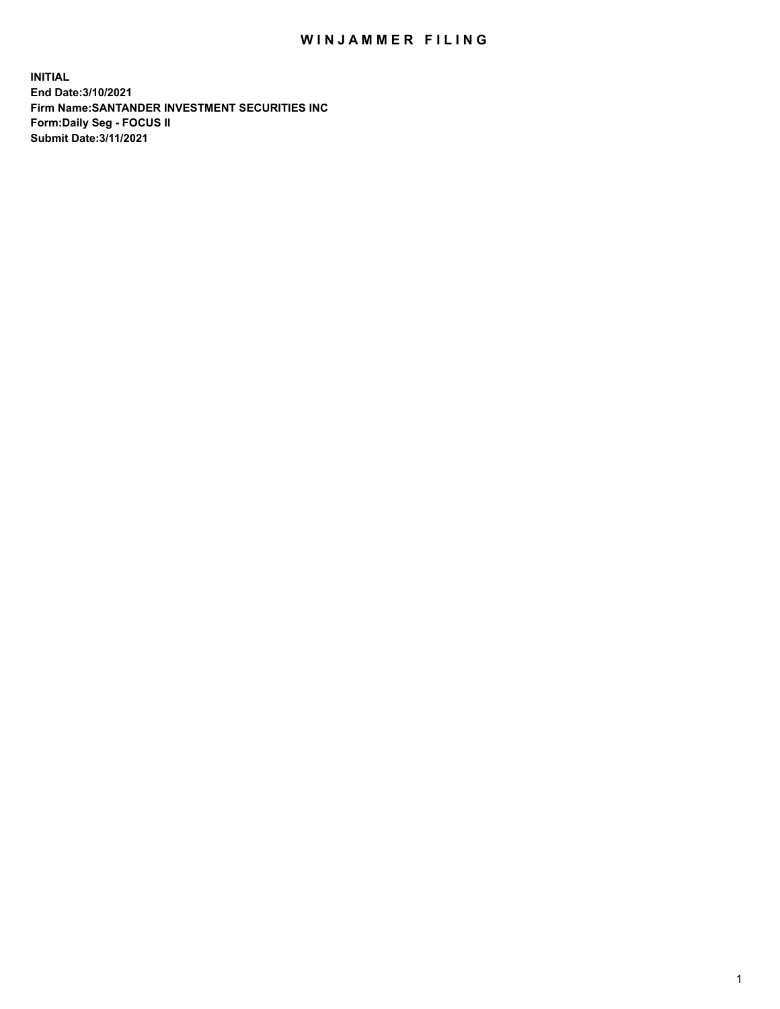## WIN JAMMER FILING

**INITIAL End Date:3/10/2021 Firm Name:SANTANDER INVESTMENT SECURITIES INC Form:Daily Seg - FOCUS II Submit Date:3/11/2021**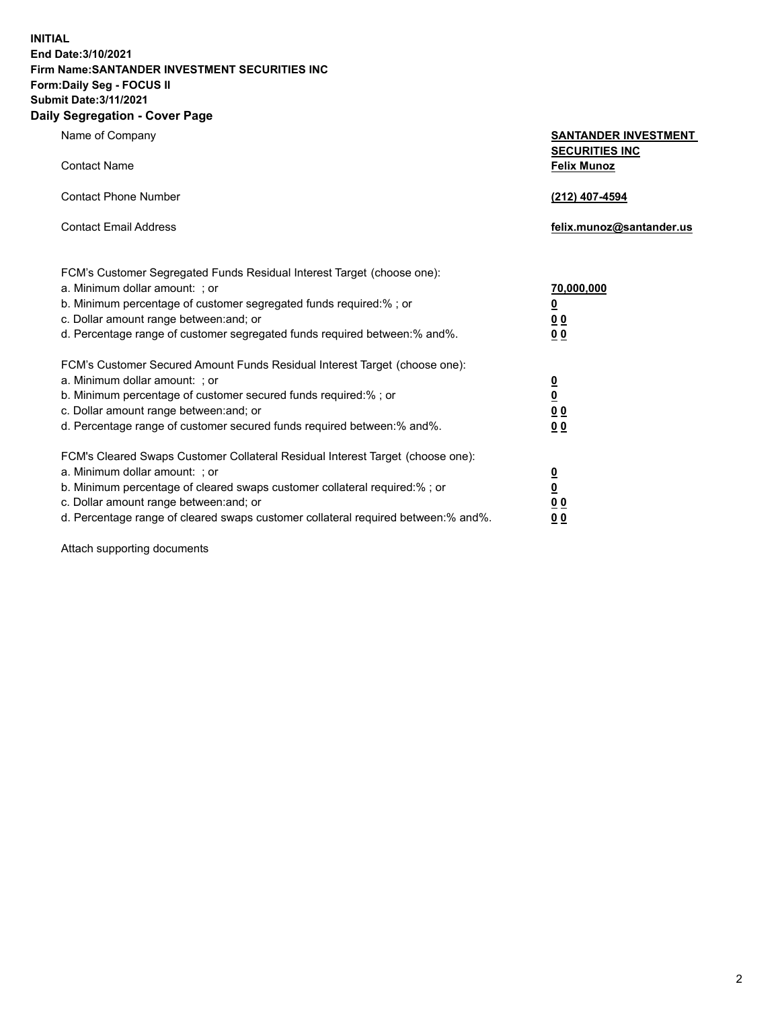**INITIAL End Date:3/10/2021 Firm Name:SANTANDER INVESTMENT SECURITIES INC Form:Daily Seg - FOCUS II Submit Date:3/11/2021 Daily Segregation - Cover Page**

| Name of Company                                                                   | <b>SANTANDER INVESTMENT</b> |
|-----------------------------------------------------------------------------------|-----------------------------|
|                                                                                   | <b>SECURITIES INC</b>       |
| <b>Contact Name</b>                                                               | <b>Felix Munoz</b>          |
|                                                                                   |                             |
| <b>Contact Phone Number</b>                                                       | (212) 407-4594              |
| <b>Contact Email Address</b>                                                      | felix.munoz@santander.us    |
|                                                                                   |                             |
|                                                                                   |                             |
| FCM's Customer Segregated Funds Residual Interest Target (choose one):            |                             |
| a. Minimum dollar amount: ; or                                                    | 70,000,000                  |
| b. Minimum percentage of customer segregated funds required:%; or                 | <u>0</u>                    |
| c. Dollar amount range between: and; or                                           | 0 <sup>0</sup>              |
| d. Percentage range of customer segregated funds required between:% and%.         | 00                          |
| FCM's Customer Secured Amount Funds Residual Interest Target (choose one):        |                             |
| a. Minimum dollar amount: ; or                                                    |                             |
| b. Minimum percentage of customer secured funds required:%; or                    | $\frac{0}{0}$               |
| c. Dollar amount range between: and; or                                           | 0 <sub>0</sub>              |
| d. Percentage range of customer secured funds required between: % and %.          | 0 <sub>0</sub>              |
|                                                                                   |                             |
| FCM's Cleared Swaps Customer Collateral Residual Interest Target (choose one):    |                             |
| a. Minimum dollar amount: ; or                                                    | $\frac{0}{0}$               |
| b. Minimum percentage of cleared swaps customer collateral required:% ; or        |                             |
| c. Dollar amount range between: and; or                                           | 0 <sub>0</sub>              |
| d. Percentage range of cleared swaps customer collateral required between:% and%. | <u>00</u>                   |

Attach supporting documents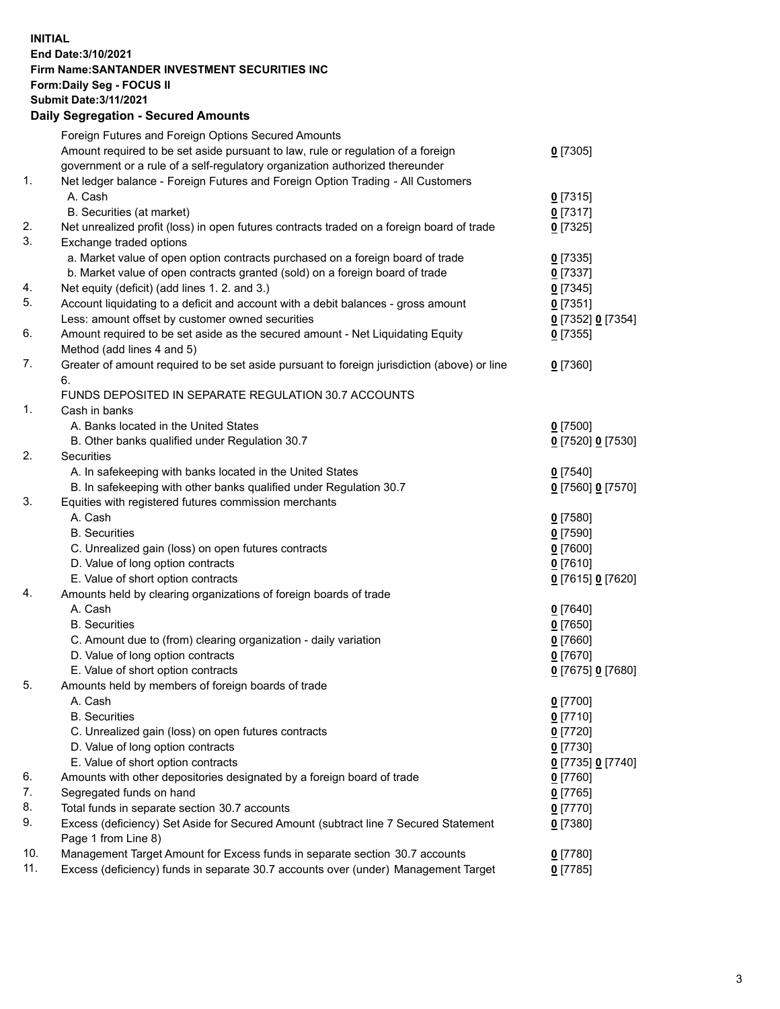**INITIAL End Date:3/10/2021 Firm Name:SANTANDER INVESTMENT SECURITIES INC Form:Daily Seg - FOCUS II Submit Date:3/11/2021 Daily Segregation - Secured Amounts**

|     | Foreign Futures and Foreign Options Secured Amounts                                                        |                   |
|-----|------------------------------------------------------------------------------------------------------------|-------------------|
|     | Amount required to be set aside pursuant to law, rule or regulation of a foreign                           | $0$ [7305]        |
|     | government or a rule of a self-regulatory organization authorized thereunder                               |                   |
| 1.  | Net ledger balance - Foreign Futures and Foreign Option Trading - All Customers                            |                   |
|     | A. Cash                                                                                                    | $0$ [7315]        |
|     | B. Securities (at market)                                                                                  | $0$ [7317]        |
| 2.  | Net unrealized profit (loss) in open futures contracts traded on a foreign board of trade                  | $0$ [7325]        |
| 3.  | Exchange traded options                                                                                    |                   |
|     | a. Market value of open option contracts purchased on a foreign board of trade                             | $0$ [7335]        |
|     | b. Market value of open contracts granted (sold) on a foreign board of trade                               | $0$ [7337]        |
| 4.  | Net equity (deficit) (add lines 1. 2. and 3.)                                                              | $0$ [7345]        |
| 5.  | Account liquidating to a deficit and account with a debit balances - gross amount                          | $0$ [7351]        |
|     | Less: amount offset by customer owned securities                                                           | 0 [7352] 0 [7354] |
| 6.  | Amount required to be set aside as the secured amount - Net Liquidating Equity                             | $0$ [7355]        |
|     | Method (add lines 4 and 5)                                                                                 |                   |
| 7.  | Greater of amount required to be set aside pursuant to foreign jurisdiction (above) or line                | $0$ [7360]        |
|     | 6.                                                                                                         |                   |
|     | FUNDS DEPOSITED IN SEPARATE REGULATION 30.7 ACCOUNTS                                                       |                   |
| 1.  | Cash in banks                                                                                              |                   |
|     | A. Banks located in the United States                                                                      | $0$ [7500]        |
|     | B. Other banks qualified under Regulation 30.7                                                             | 0 [7520] 0 [7530] |
| 2.  | Securities                                                                                                 |                   |
|     | A. In safekeeping with banks located in the United States                                                  | $0$ [7540]        |
|     | B. In safekeeping with other banks qualified under Regulation 30.7                                         | 0 [7560] 0 [7570] |
| 3.  | Equities with registered futures commission merchants                                                      |                   |
|     | A. Cash                                                                                                    | $0$ [7580]        |
|     | <b>B.</b> Securities                                                                                       | $0$ [7590]        |
|     | C. Unrealized gain (loss) on open futures contracts                                                        | $0$ [7600]        |
|     | D. Value of long option contracts                                                                          | $0$ [7610]        |
|     | E. Value of short option contracts                                                                         | 0 [7615] 0 [7620] |
| 4.  | Amounts held by clearing organizations of foreign boards of trade                                          |                   |
|     | A. Cash                                                                                                    | $0$ [7640]        |
|     | <b>B.</b> Securities                                                                                       | $0$ [7650]        |
|     | C. Amount due to (from) clearing organization - daily variation                                            | $0$ [7660]        |
|     | D. Value of long option contracts                                                                          | $0$ [7670]        |
|     | E. Value of short option contracts                                                                         | 0 [7675] 0 [7680] |
| 5.  | Amounts held by members of foreign boards of trade                                                         |                   |
|     | A. Cash                                                                                                    | 0 [7700]          |
|     | <b>B.</b> Securities                                                                                       | $0$ [7710]        |
|     | C. Unrealized gain (loss) on open futures contracts                                                        | $0$ [7720]        |
|     | D. Value of long option contracts                                                                          | $0$ [7730]        |
|     | E. Value of short option contracts                                                                         | 0 [7735] 0 [7740] |
| 6.  | Amounts with other depositories designated by a foreign board of trade                                     | $0$ [7760]        |
| 7.  | Segregated funds on hand                                                                                   | $0$ [7765]        |
| 8.  | Total funds in separate section 30.7 accounts                                                              | $0$ [7770]        |
| 9.  | Excess (deficiency) Set Aside for Secured Amount (subtract line 7 Secured Statement<br>Page 1 from Line 8) | $0$ [7380]        |
| 10. | Management Target Amount for Excess funds in separate section 30.7 accounts                                | $0$ [7780]        |
| 11. | Excess (deficiency) funds in separate 30.7 accounts over (under) Management Target                         | $0$ [7785]        |
|     |                                                                                                            |                   |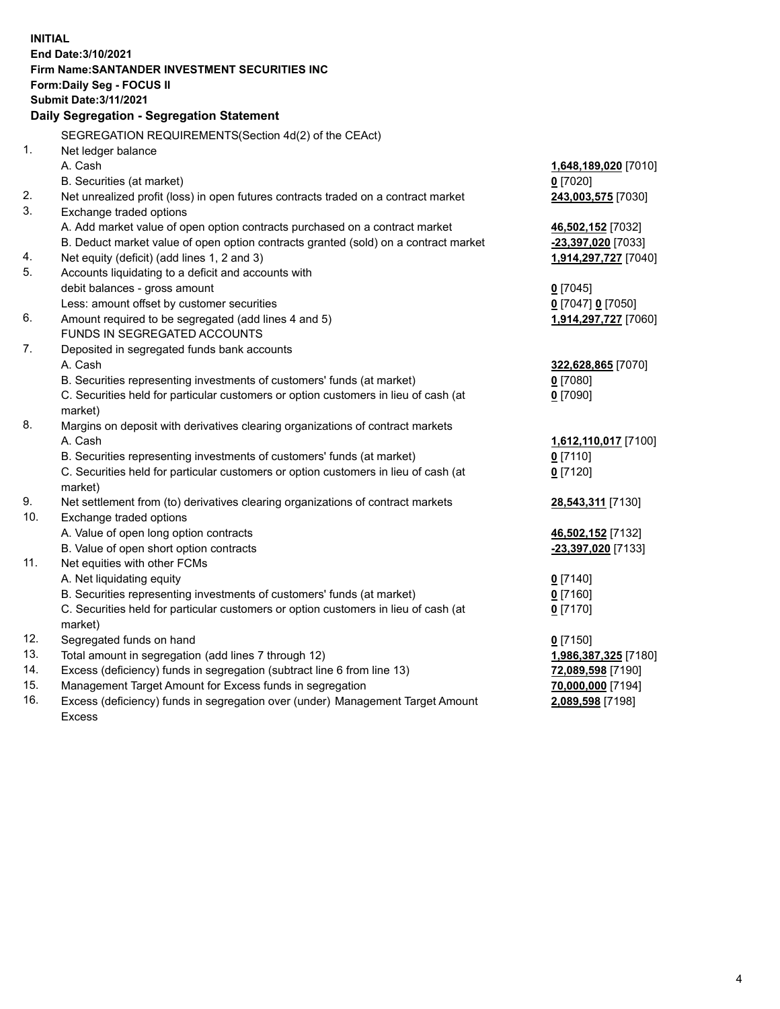| <b>INITIAL</b> |                                                                                           |                      |  |  |  |  |
|----------------|-------------------------------------------------------------------------------------------|----------------------|--|--|--|--|
|                | End Date: 3/10/2021                                                                       |                      |  |  |  |  |
|                | Firm Name: SANTANDER INVESTMENT SECURITIES INC                                            |                      |  |  |  |  |
|                | Form: Daily Seg - FOCUS II                                                                |                      |  |  |  |  |
|                | <b>Submit Date: 3/11/2021</b>                                                             |                      |  |  |  |  |
|                | Daily Segregation - Segregation Statement                                                 |                      |  |  |  |  |
|                | SEGREGATION REQUIREMENTS(Section 4d(2) of the CEAct)                                      |                      |  |  |  |  |
| 1.             | Net ledger balance                                                                        |                      |  |  |  |  |
|                | A. Cash                                                                                   | 1,648,189,020 [7010] |  |  |  |  |
|                | B. Securities (at market)                                                                 | $0$ [7020]           |  |  |  |  |
| 2.             | Net unrealized profit (loss) in open futures contracts traded on a contract market        | 243,003,575 [7030]   |  |  |  |  |
| 3.             | Exchange traded options                                                                   |                      |  |  |  |  |
|                | A. Add market value of open option contracts purchased on a contract market               | 46,502,152 [7032]    |  |  |  |  |
|                | B. Deduct market value of open option contracts granted (sold) on a contract market       | -23,397,020 [7033]   |  |  |  |  |
| 4.             | Net equity (deficit) (add lines 1, 2 and 3)                                               | 1,914,297,727 [7040] |  |  |  |  |
| 5.             | Accounts liquidating to a deficit and accounts with                                       |                      |  |  |  |  |
|                | debit balances - gross amount                                                             | $0$ [7045]           |  |  |  |  |
|                | Less: amount offset by customer securities                                                | 0 [7047] 0 [7050]    |  |  |  |  |
| 6.             | Amount required to be segregated (add lines 4 and 5)                                      | 1,914,297,727 [7060] |  |  |  |  |
|                | FUNDS IN SEGREGATED ACCOUNTS                                                              |                      |  |  |  |  |
| 7.             | Deposited in segregated funds bank accounts                                               |                      |  |  |  |  |
|                | A. Cash                                                                                   | 322,628,865 [7070]   |  |  |  |  |
|                | B. Securities representing investments of customers' funds (at market)                    | $0$ [7080]           |  |  |  |  |
|                | C. Securities held for particular customers or option customers in lieu of cash (at       | $0$ [7090]           |  |  |  |  |
| 8.             | market)                                                                                   |                      |  |  |  |  |
|                | Margins on deposit with derivatives clearing organizations of contract markets<br>A. Cash | 1,612,110,017 [7100] |  |  |  |  |
|                | B. Securities representing investments of customers' funds (at market)                    | $0$ [7110]           |  |  |  |  |
|                | C. Securities held for particular customers or option customers in lieu of cash (at       | $0$ [7120]           |  |  |  |  |
|                | market)                                                                                   |                      |  |  |  |  |
| 9.             | Net settlement from (to) derivatives clearing organizations of contract markets           | 28,543,311 [7130]    |  |  |  |  |
| 10.            | Exchange traded options                                                                   |                      |  |  |  |  |
|                | A. Value of open long option contracts                                                    | 46,502,152 [7132]    |  |  |  |  |
|                | B. Value of open short option contracts                                                   | -23,397,020 [7133]   |  |  |  |  |
| 11.            | Net equities with other FCMs                                                              |                      |  |  |  |  |
|                | A. Net liquidating equity                                                                 | $0$ [7140]           |  |  |  |  |
|                | B. Securities representing investments of customers' funds (at market)                    | $0$ [7160]           |  |  |  |  |
|                | C. Securities held for particular customers or option customers in lieu of cash (at       | $0$ [7170]           |  |  |  |  |
|                | market)                                                                                   |                      |  |  |  |  |
| 12.            | Segregated funds on hand                                                                  | $0$ [7150]           |  |  |  |  |
| 13.            | Total amount in segregation (add lines 7 through 12)                                      | 1,986,387,325 [7180] |  |  |  |  |
| 14.            | Excess (deficiency) funds in segregation (subtract line 6 from line 13)                   | 72,089,598 [7190]    |  |  |  |  |
| 15.            | Management Target Amount for Excess funds in segregation                                  | 70,000,000 [7194]    |  |  |  |  |
| 16.            | Excess (deficiency) funds in segregation over (under) Management Target Amount            | 2,089,598 [7198]     |  |  |  |  |
|                | Excess                                                                                    |                      |  |  |  |  |